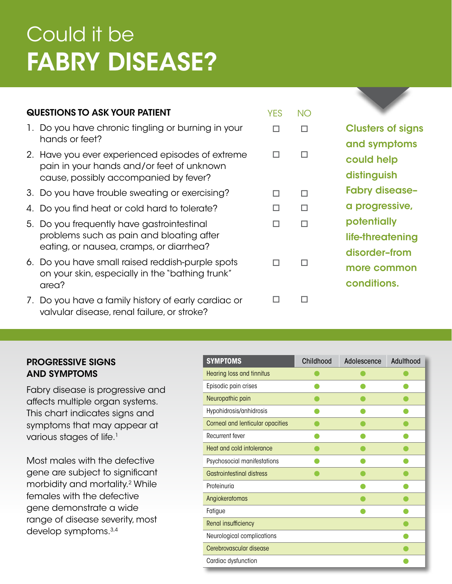# Could it be FABRY DISEASE?

# QUESTIONS TO ASK YOUR PATIENT

- 1. Do you have chronic tingling or burning in your hands or feet?
- 2. Have you ever experienced episodes of extreme pain in your hands and/or feet of unknown cause, possibly accompanied by fever?
- 3. Do you have trouble sweating or exercising?
- 4. Do you find heat or cold hard to tolerate?
- 5. Do you frequently have gastrointestinal problems such as pain and bloating after eating, or nausea, cramps, or diarrhea?
- 6. Do you have small raised reddish-purple spots on your skin, especially in the "bathing trunk" area?
- 7. Do you have a family history of early cardiac or valvular disease, renal failure, or stroke?

| <b>Clusters of signs</b> |
|--------------------------|
| and symptoms             |
| could help               |
| distinguish              |
| <b>Fabry disease-</b>    |
| a progressive,           |
| potentially              |
| life-threatening         |
| disorder-from            |
| more common              |
| conditions.              |
|                          |

# PROGRESSIVE SIGNS AND SYMPTOMS

Fabry disease is progressive and affects multiple organ systems. This chart indicates signs and symptoms that may appear at various stages of life.<sup>1</sup>

Most males with the defective gene are subject to significant morbidity and mortality.2 While females with the defective gene demonstrate a wide range of disease severity, most develop symptoms.3,4

| <b>SYMPTOMS</b>                  | Childhood | Adolescence | Adulthood |
|----------------------------------|-----------|-------------|-----------|
| Hearing loss and tinnitus        |           |             |           |
| Episodic pain crises             |           |             |           |
| Neuropathic pain                 |           |             |           |
| Hypohidrosis/anhidrosis          |           |             |           |
| Corneal and lenticular opacities |           |             |           |
| Recurrent fever                  |           |             |           |
| Heat and cold intolerance        |           |             |           |
| Psychosocial manifestations      |           |             |           |
| Gastrointestingl distress        |           |             |           |
| Proteinuria                      |           |             |           |
| Angiokeratomas                   |           |             |           |
| Fatigue                          |           |             |           |
| Renal insufficiency              |           |             |           |
| Neurological complications       |           |             |           |
| Cerebrovascular disease          |           |             |           |
| Cardiac dysfunction              |           |             |           |

YES NO

 $\Box$   $\Box$ 

o o

 o o o o

o o

o o

o o